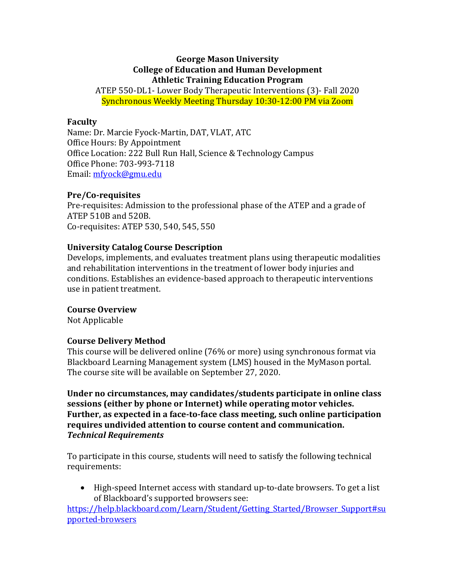#### **George Mason University College of Education and Human Development Athletic Training Education Program**

ATEP 550-DL1- Lower Body Therapeutic Interventions (3)- Fall 2020 Synchronous Weekly Meeting Thursday 10:30-12:00 PM via Zoom

#### **Faculty**

Name: Dr. Marcie Fyock-Martin, DAT, VLAT, ATC Office Hours: By Appointment Office Location: 222 Bull Run Hall, Science & Technology Campus Office Phone: 703-993-7118 Email: mfyock@gmu.edu

#### **Pre/Co-requisites**

Pre-requisites: Admission to the professional phase of the ATEP and a grade of ATEP 510B and 520B. Co-requisites: ATEP 530, 540, 545, 550

## **University Catalog Course Description**

Develops, implements, and evaluates treatment plans using therapeutic modalities and rehabilitation interventions in the treatment of lower body injuries and conditions. Establishes an evidence-based approach to therapeutic interventions use in patient treatment.

## **Course Overview**

Not Applicable

## **Course Delivery Method**

This course will be delivered online (76% or more) using synchronous format via Blackboard Learning Management system (LMS) housed in the MyMason portal. The course site will be available on September 27, 2020.

Under no circumstances, may candidates/students participate in online class sessions (either by phone or Internet) while operating motor vehicles. Further, as expected in a face-to-face class meeting, such online participation requires undivided attention to course content and communication. *Technical Requirements*

To participate in this course, students will need to satisfy the following technical requirements:

• High-speed Internet access with standard up-to-date browsers. To get a list of Blackboard's supported browsers see:

https://help.blackboard.com/Learn/Student/Getting\_Started/Browser\_Support#su pported-browsers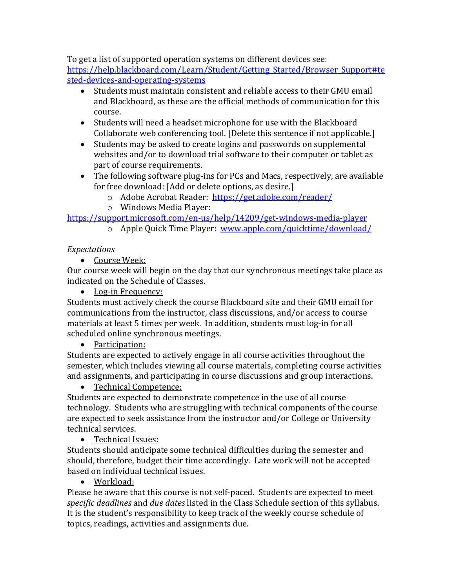To get a list of supported operation systems on different devices see: https://help.blackboard.com/Learn/Student/Getting Started/Browser Support#te sted-devices-and-operating-systems

- Students must maintain consistent and reliable access to their GMU email and Blackboard, as these are the official methods of communication for this course.
- Students will need a headset microphone for use with the Blackboard Collaborate web conferencing tool. [Delete this sentence if not applicable.]
- Students may be asked to create logins and passwords on supplemental websites and/or to download trial software to their computer or tablet as part of course requirements.
- The following software plug-ins for PCs and Macs, respectively, are available for free download: [Add or delete options, as desire.]
	- o Adobe Acrobat Reader: https://get.adobe.com/reader/
	- o Windows Media Player:

https://support.microsoft.com/en-us/help/14209/get-windows-media-player

 $\overline{\circ}$  Apple Quick Time Player: www.apple.com/quicktime/download/

# *Expectations*

• Course Week:

Our course week will begin on the day that our synchronous meetings take place as indicated on the Schedule of Classes.

• Log-in Frequency:

Students must actively check the course Blackboard site and their GMU email for communications from the instructor, class discussions, and/or access to course materials at least 5 times per week. In addition, students must log-in for all scheduled online synchronous meetings.

# • Participation:

Students are expected to actively engage in all course activities throughout the semester, which includes viewing all course materials, completing course activities and assignments, and participating in course discussions and group interactions.

• Technical Competence:

Students are expected to demonstrate competence in the use of all course technology. Students who are struggling with technical components of the course are expected to seek assistance from the instructor and/or College or University technical services.

# • Technical Issues:

Students should anticipate some technical difficulties during the semester and should, therefore, budget their time accordingly. Late work will not be accepted based on individual technical issues.

• Workload:

Please be aware that this course is not self-paced. Students are expected to meet specific deadlines and *due dates* listed in the Class Schedule section of this syllabus. It is the student's responsibility to keep track of the weekly course schedule of topics, readings, activities and assignments due.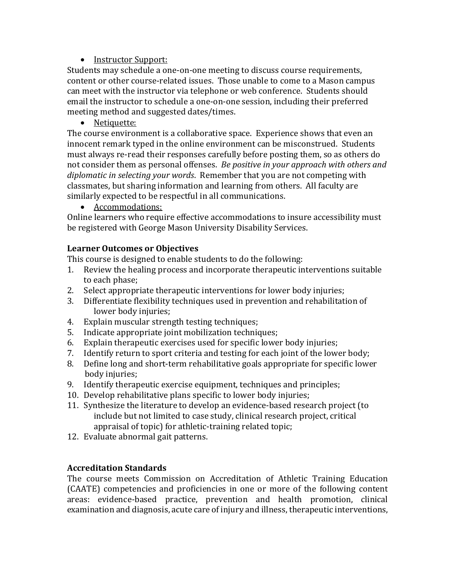# • Instructor Support:

Students may schedule a one-on-one meeting to discuss course requirements, content or other course-related issues. Those unable to come to a Mason campus can meet with the instructor via telephone or web conference. Students should email the instructor to schedule a one-on-one session, including their preferred meeting method and suggested dates/times.

• Netiquette:

The course environment is a collaborative space. Experience shows that even an innocent remark typed in the online environment can be misconstrued. Students must always re-read their responses carefully before posting them, so as others do not consider them as personal offenses. *Be positive in your approach with others and diplomatic in selecting your words.* Remember that you are not competing with classmates, but sharing information and learning from others. All faculty are similarly expected to be respectful in all communications.

• Accommodations:

Online learners who require effective accommodations to insure accessibility must be registered with George Mason University Disability Services.

# **Learner Outcomes or Objectives**

This course is designed to enable students to do the following:

- 1. Review the healing process and incorporate therapeutic interventions suitable to each phase;
- 2. Select appropriate therapeutic interventions for lower body injuries;
- 3. Differentiate flexibility techniques used in prevention and rehabilitation of lower body injuries;
- 4. Explain muscular strength testing techniques;
- 5. Indicate appropriate joint mobilization techniques;
- 6. Explain therapeutic exercises used for specific lower body injuries;
- 7. Identify return to sport criteria and testing for each joint of the lower body;
- 8. Define long and short-term rehabilitative goals appropriate for specific lower body injuries;
- 9. Identify therapeutic exercise equipment, techniques and principles;
- 10. Develop rehabilitative plans specific to lower body injuries;
- 11. Synthesize the literature to develop an evidence-based research project (to include but not limited to case study, clinical research project, critical appraisal of topic) for athletic-training related topic;
- 12. Evaluate abnormal gait patterns.

# **Accreditation Standards**

The course meets Commission on Accreditation of Athletic Training Education (CAATE) competencies and proficiencies in one or more of the following content areas: evidence-based practice, prevention and health promotion, clinical examination and diagnosis, acute care of injury and illness, therapeutic interventions,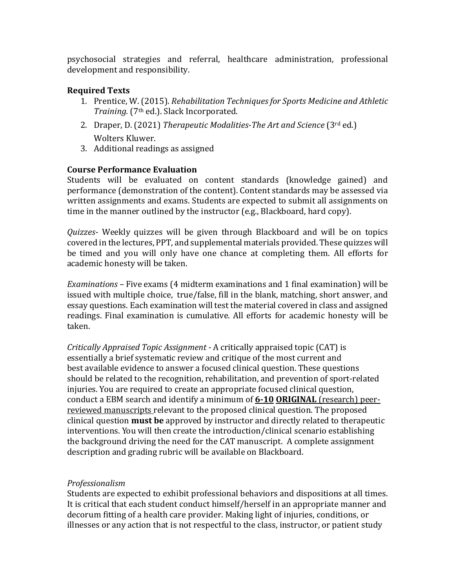psychosocial strategies and referral, healthcare administration, professional development and responsibility.

# **Required Texts**

- 1. Prentice, W. (2015). *Rehabilitation Techniques for Sports Medicine and Athletic Training.* (7<sup>th</sup> ed.). Slack Incorporated.
- 2. Draper, D. (2021) *Therapeutic Modalities-The Art and Science* (3<sup>rd</sup> ed.) Wolters Kluwer.
- 3. Additional readings as assigned

# **Course Performance Evaluation**

Students will be evaluated on content standards (knowledge gained) and performance (demonstration of the content). Content standards may be assessed via written assignments and exams. Students are expected to submit all assignments on time in the manner outlined by the instructor (e.g., Blackboard, hard copy).

*Quizzes*- Weekly quizzes will be given through Blackboard and will be on topics covered in the lectures, PPT, and supplemental materials provided. These quizzes will be timed and you will only have one chance at completing them. All efforts for academic honesty will be taken.

*Examinations* – Five exams (4 midterm examinations and 1 final examination) will be issued with multiple choice, true/false, fill in the blank, matching, short answer, and essay questions. Each examination will test the material covered in class and assigned readings. Final examination is cumulative. All efforts for academic honesty will be taken.

*Critically Appraised Topic Assignment* - A critically appraised topic (CAT) is essentially a brief systematic review and critique of the most current and best available evidence to answer a focused clinical question. These questions should be related to the recognition, rehabilitation, and prevention of sport-related injuries. You are required to create an appropriate focused clinical question, conduct a EBM search and identify a minimum of 6-10 ORIGINAL (research) peerreviewed manuscripts relevant to the proposed clinical question. The proposed clinical question **must be** approved by instructor and directly related to therapeutic interventions. You will then create the introduction/clinical scenario establishing the background driving the need for the CAT manuscript. A complete assignment description and grading rubric will be available on Blackboard.

## *Professionalism*

Students are expected to exhibit professional behaviors and dispositions at all times. It is critical that each student conduct himself/herself in an appropriate manner and decorum fitting of a health care provider. Making light of injuries, conditions, or illnesses or any action that is not respectful to the class, instructor, or patient study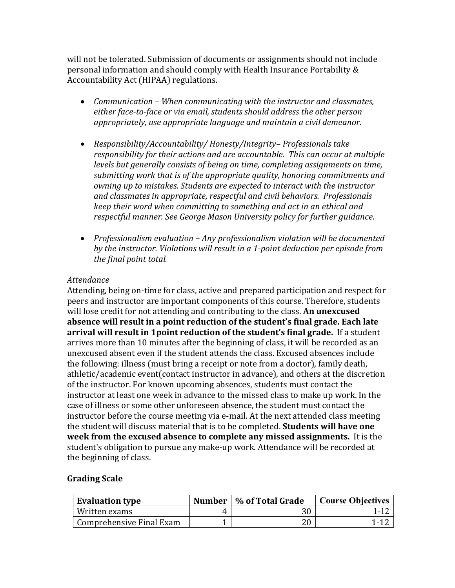will not be tolerated. Submission of documents or assignments should not include personal information and should comply with Health Insurance Portability & Accountability Act (HIPAA) regulations.

- *Communication When communicating with the instructor and classmates,* either face-to-face or via email, students should address the other person appropriately, use appropriate language and maintain a civil demeanor.
- *Responsibility/Accountability/ Honesty/Integrity-Professionals take responsibility for their actions and are accountable. This can occur at multiple levels but generally consists of being on time, completing assignments on time,* submitting work that is of the appropriate quality, honoring commitments and *owning up to mistakes. Students are expected to interact with the instructor and classmates in appropriate, respectful and civil behaviors. Professionals keep* their word when committing to something and act in an ethical and *respectful manner. See George Mason University policy for further guidance.*
- Professionalism evaluation Any professionalism violation will be documented by the instructor. Violations will result in a 1-point deduction per episode from *the final point total.*

#### *Attendance*

Attending, being on-time for class, active and prepared participation and respect for peers and instructor are important components of this course. Therefore, students will lose credit for not attending and contributing to the class. **An unexcused** absence will result in a point reduction of the student's final grade. Each late **arrival will result in 1point reduction of the student's final grade.** If a student arrives more than 10 minutes after the beginning of class, it will be recorded as an unexcused absent even if the student attends the class. Excused absences include the following: illness (must bring a receipt or note from a doctor), family death, athletic/academic event(contact instructor in advance), and others at the discretion of the instructor. For known upcoming absences, students must contact the instructor at least one week in advance to the missed class to make up work. In the case of illness or some other unforeseen absence, the student must contact the instructor before the course meeting via e-mail. At the next attended class meeting the student will discuss material that is to be completed. **Students will have one week from the excused absence to complete any missed assignments.** It is the student's obligation to pursue any make-up work. Attendance will be recorded at the beginning of class.

## **Grading Scale**

| <b>Evaluation type</b>   |   | Number   % of Total Grade | <b>Course Objectives</b> |
|--------------------------|---|---------------------------|--------------------------|
| Written exams            | 4 | 30                        |                          |
| Comprehensive Final Exam |   | 20                        | 1.12                     |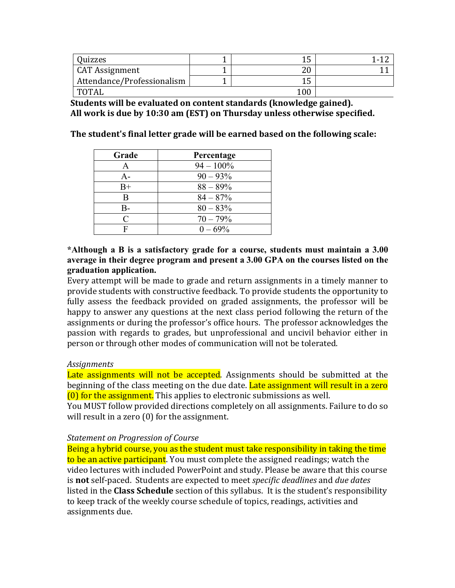| Quizzes                    |    |  |
|----------------------------|----|--|
| <b>CAT Assignment</b>      | າດ |  |
| Attendance/Professionalism |    |  |
| <b>TOTAI</b>               | 00 |  |

**Students will be evaluated on content standards (knowledge gained).** All work is due by 10:30 am (EST) on Thursday unless otherwise specified.

The student's final letter grade will be earned based on the following scale:

| Grade     | Percentage   |
|-----------|--------------|
|           | $94 - 100\%$ |
| А-        | $90 - 93\%$  |
| $B+$      | $88 - 89\%$  |
| B         | $84 - 87%$   |
| B-        | $80 - 83\%$  |
| $\subset$ | $70 - 79\%$  |
|           | $0 - 69\%$   |

#### **\*Although a B is a satisfactory grade for a course, students must maintain a 3.00 average in their degree program and present a 3.00 GPA on the courses listed on the graduation application.**

Every attempt will be made to grade and return assignments in a timely manner to provide students with constructive feedback. To provide students the opportunity to fully assess the feedback provided on graded assignments, the professor will be happy to answer any questions at the next class period following the return of the assignments or during the professor's office hours. The professor acknowledges the passion with regards to grades, but unprofessional and uncivil behavior either in person or through other modes of communication will not be tolerated.

#### *Assignments*

Late assignments will not be accepted. Assignments should be submitted at the beginning of the class meeting on the due date. Late assignment will result in a zero  $(0)$  for the assignment. This applies to electronic submissions as well.

You MUST follow provided directions completely on all assignments. Failure to do so will result in a zero  $(0)$  for the assignment.

#### **Statement on Progression of Course**

Being a hybrid course, you as the student must take responsibility in taking the time to be an active participant. You must complete the assigned readings; watch the video lectures with included PowerPoint and study. Please be aware that this course is **not** self-paced. Students are expected to meet *specific deadlines* and *due dates* listed in the **Class Schedule** section of this syllabus. It is the student's responsibility to keep track of the weekly course schedule of topics, readings, activities and assignments due.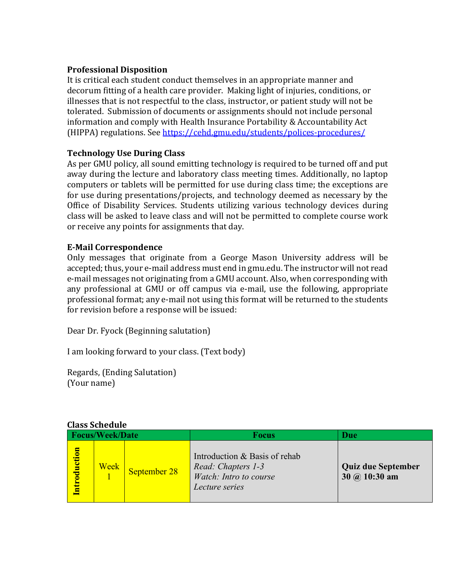# **Professional Disposition**

It is critical each student conduct themselves in an appropriate manner and decorum fitting of a health care provider. Making light of injuries, conditions, or illnesses that is not respectful to the class, instructor, or patient study will not be tolerated. Submission of documents or assignments should not include personal information and comply with Health Insurance Portability & Accountability Act (HIPPA) regulations. See https://cehd.gmu.edu/students/polices-procedures/

# **Technology Use During Class**

As per GMU policy, all sound emitting technology is required to be turned off and put away during the lecture and laboratory class meeting times. Additionally, no laptop computers or tablets will be permitted for use during class time; the exceptions are for use during presentations/projects, and technology deemed as necessary by the Office of Disability Services. Students utilizing various technology devices during class will be asked to leave class and will not be permitted to complete course work or receive any points for assignments that day.

## **E-Mail Correspondence**

Only messages that originate from a George Mason University address will be accepted; thus, your e-mail address must end in gmu.edu. The instructor will not read e-mail messages not originating from a GMU account. Also, when corresponding with any professional at GMU or off campus via e-mail, use the following, appropriate professional format; any e-mail not using this format will be returned to the students for revision before a response will be issued:

Dear Dr. Fyock (Beginning salutation)

I am looking forward to your class. (Text body)

Regards, (Ending Salutation) (Your name)

| Class Schedule     |      |              |                                                                                                 |                                                          |  |
|--------------------|------|--------------|-------------------------------------------------------------------------------------------------|----------------------------------------------------------|--|
| Focus/Week/Date    |      |              | <b>Focus</b>                                                                                    | <b>Due</b>                                               |  |
| <b>ntroduction</b> | Week | September 28 | Introduction & Basis of rehab<br>Read: Chapters 1-3<br>Watch: Intro to course<br>Lecture series | <b>Quiz due September</b><br>$30 \ (a) 10:30 \text{ am}$ |  |

# **Class Schedule**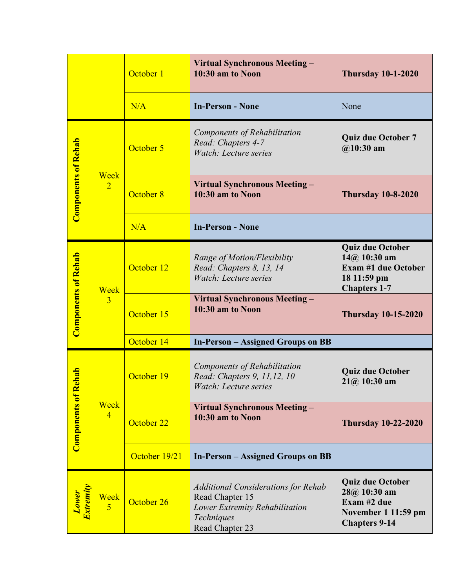|                            |                               | October 1     | Virtual Synchronous Meeting -<br>10:30 am to Noon                                                                                | <b>Thursday 10-1-2020</b>                                                                                     |
|----------------------------|-------------------------------|---------------|----------------------------------------------------------------------------------------------------------------------------------|---------------------------------------------------------------------------------------------------------------|
|                            |                               | N/A           | <b>In-Person - None</b>                                                                                                          | None                                                                                                          |
|                            |                               | October 5     | Components of Rehabilitation<br>Read: Chapters 4-7<br>Watch: Lecture series                                                      | <b>Quiz due October 7</b><br>$@10:30$ am                                                                      |
| <b>Components of Rehab</b> | <b>Week</b><br>$\overline{2}$ | October 8     | Virtual Synchronous Meeting -<br>10:30 am to Noon                                                                                | <b>Thursday 10-8-2020</b>                                                                                     |
|                            |                               | N/A           | <b>In-Person - None</b>                                                                                                          |                                                                                                               |
|                            | Week                          | October 12    | Range of Motion/Flexibility<br>Read: Chapters 8, 13, 14<br>Watch: Lecture series                                                 | <b>Quiz due October</b><br>$14@$ 10:30 am<br><b>Exam #1 due October</b><br>18 11:59 pm<br><b>Chapters 1-7</b> |
| <b>Components of Rehab</b> | $\overline{3}$                | October 15    | Virtual Synchronous Meeting -<br>10:30 am to Noon                                                                                | <b>Thursday 10-15-2020</b>                                                                                    |
|                            |                               | October 14    | <b>In-Person – Assigned Groups on BB</b>                                                                                         |                                                                                                               |
| ehab                       |                               | October 19    | Components of Rehabilitation<br>Read: Chapters 9, 11,12, 10<br>Watch: Lecture series                                             | <b>Quiz due October</b><br>$21@.10:30$ am                                                                     |
| <b>Components of R</b>     | Week<br>$\overline{4}$        | October 22    | Virtual Synchronous Meeting -<br>10:30 am to Noon                                                                                | <b>Thursday 10-22-2020</b>                                                                                    |
|                            |                               | October 19/21 | <b>In-Person – Assigned Groups on BB</b>                                                                                         |                                                                                                               |
| <b>Lower</b><br>Extremity  | Week<br>$\overline{5}$        | October 26    | <b>Additional Considerations for Rehab</b><br>Read Chapter 15<br>Lower Extremity Rehabilitation<br>Techniques<br>Read Chapter 23 | <b>Quiz due October</b><br>$28@10:30$ am<br>Exam #2 due<br>November 1 11:59 pm<br><b>Chapters 9-14</b>        |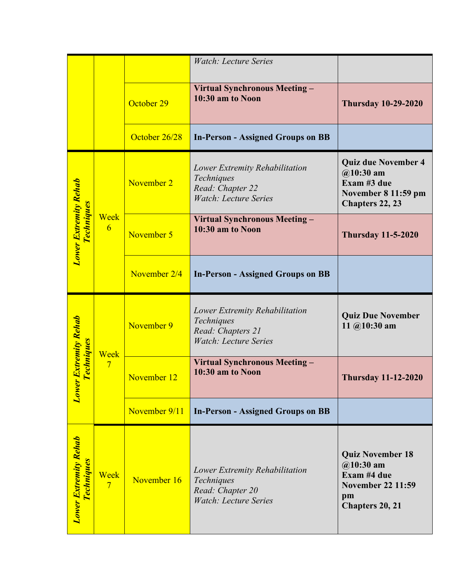|                                            |                         |               | Watch: Lecture Series                                                                             |                                                                                                           |
|--------------------------------------------|-------------------------|---------------|---------------------------------------------------------------------------------------------------|-----------------------------------------------------------------------------------------------------------|
|                                            |                         | October 29    | Virtual Synchronous Meeting -<br>10:30 am to Noon                                                 | <b>Thursday 10-29-2020</b>                                                                                |
|                                            |                         | October 26/28 | <b>In-Person - Assigned Groups on BB</b>                                                          |                                                                                                           |
|                                            |                         | November 2    | Lower Extremity Rehabilitation<br>Techniques<br>Read: Chapter 22<br><b>Watch: Lecture Series</b>  | <b>Quiz due November 4</b><br>$@10:30$ am<br>Exam #3 due<br>November 8 11:59 pm<br><b>Chapters 22, 23</b> |
| Lower Extremity Rehab<br><b>Techniques</b> | Week<br>6               | November 5    | Virtual Synchronous Meeting -<br>10:30 am to Noon                                                 | <b>Thursday 11-5-2020</b>                                                                                 |
|                                            |                         | November 2/4  | <b>In-Person - Assigned Groups on BB</b>                                                          |                                                                                                           |
|                                            |                         |               |                                                                                                   |                                                                                                           |
|                                            |                         | November 9    | Lower Extremity Rehabilitation<br>Techniques<br>Read: Chapters 21<br><b>Watch: Lecture Series</b> | <b>Quiz Due November</b><br>11 $@10:30$ am                                                                |
| <b>Techniques</b>                          | Week<br>$7\phantom{.0}$ | November 12   | Virtual Synchronous Meeting -<br>10:30 am to Noon                                                 | <b>Thursday 11-12-2020</b>                                                                                |
| <b>Lower Extremity Rehab</b>               |                         | November 9/11 | <b>In-Person - Assigned Groups on BB</b>                                                          |                                                                                                           |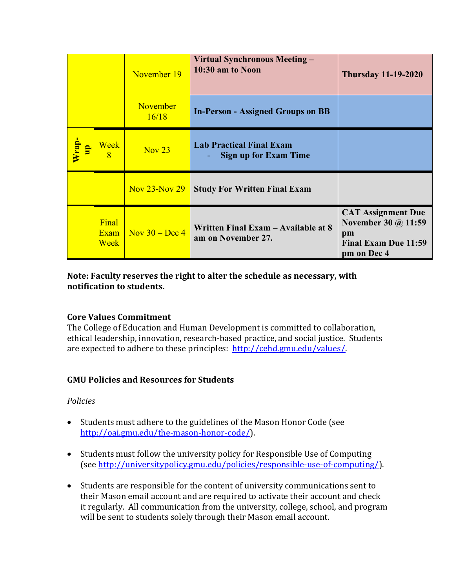|                      |                               | November 19                                     | Virtual Synchronous Meeting -<br>10:30 am to Noon               | <b>Thursday 11-19-2020</b>                                                                           |
|----------------------|-------------------------------|-------------------------------------------------|-----------------------------------------------------------------|------------------------------------------------------------------------------------------------------|
|                      |                               | November<br>16/18                               | <b>In-Person - Assigned Groups on BB</b>                        |                                                                                                      |
| $\frac{1}{\sqrt{2}}$ | <b>Week</b><br>$\overline{8}$ | Nov <sub>23</sub>                               | <b>Lab Practical Final Exam</b><br><b>Sign up for Exam Time</b> |                                                                                                      |
|                      |                               | Nov 23-Nov 29                                   | <b>Study For Written Final Exam</b>                             |                                                                                                      |
|                      | Final<br>Exam<br>Week         | $\sqrt{\frac{N_{\text{OV}}}{30 - \text{Dec}}$ 4 | Written Final Exam - Available at 8<br>am on November 27.       | <b>CAT Assignment Due</b><br>November 30 @ 11:59<br>pm<br><b>Final Exam Due 11:59</b><br>pm on Dec 4 |

# Note: Faculty reserves the right to alter the schedule as necessary, with **notification** to students.

# **Core Values Commitment**

The College of Education and Human Development is committed to collaboration, ethical leadership, innovation, research-based practice, and social justice. Students are expected to adhere to these principles: http://cehd.gmu.edu/values/.

# **GMU Policies and Resources for Students**

## *Policies*

- Students must adhere to the guidelines of the Mason Honor Code (see http://oai.gmu.edu/the-mason-honor-code/).
- Students must follow the university policy for Responsible Use of Computing (see http://universitypolicy.gmu.edu/policies/responsible-use-of-computing/).
- Students are responsible for the content of university communications sent to their Mason email account and are required to activate their account and check it regularly. All communication from the university, college, school, and program will be sent to students solely through their Mason email account.